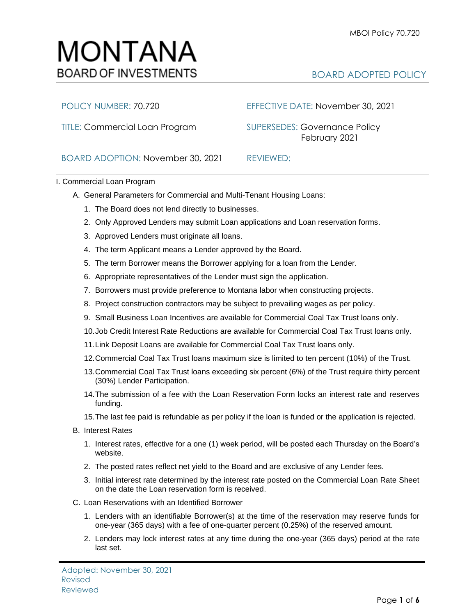# MONTANA **BOARD OF INVESTMENTS**

# BOARD ADOPTED POLICY

TITLE: Commercial Loan Program SUPERSEDES: Governance Policy

## POLICY NUMBER: 70.720 EFFECTIVE DATE: November 30, 2021

February 2021

BOARD ADOPTION: November 30, 2021 REVIEWED:

### I. Commercial Loan Program

- A. General Parameters for Commercial and Multi-Tenant Housing Loans:
	- 1. The Board does not lend directly to businesses.
	- 2. Only Approved Lenders may submit Loan applications and Loan reservation forms.
	- 3. Approved Lenders must originate all loans.
	- 4. The term Applicant means a Lender approved by the Board.
	- 5. The term Borrower means the Borrower applying for a loan from the Lender.
	- 6. Appropriate representatives of the Lender must sign the application.
	- 7. Borrowers must provide preference to Montana labor when constructing projects.
	- 8. Project construction contractors may be subject to prevailing wages as per policy.
	- 9. Small Business Loan Incentives are available for Commercial Coal Tax Trust loans only.
	- 10.Job Credit Interest Rate Reductions are available for Commercial Coal Tax Trust loans only.
	- 11.Link Deposit Loans are available for Commercial Coal Tax Trust loans only.
	- 12.Commercial Coal Tax Trust loans maximum size is limited to ten percent (10%) of the Trust.
	- 13.Commercial Coal Tax Trust loans exceeding six percent (6%) of the Trust require thirty percent (30%) Lender Participation.
	- 14.The submission of a fee with the Loan Reservation Form locks an interest rate and reserves funding.
	- 15.The last fee paid is refundable as per policy if the loan is funded or the application is rejected.
- B. Interest Rates
	- 1. Interest rates, effective for a one (1) week period, will be posted each Thursday on the Board's website.
	- 2. The posted rates reflect net yield to the Board and are exclusive of any Lender fees.
	- 3. Initial interest rate determined by the interest rate posted on the Commercial Loan Rate Sheet on the date the Loan reservation form is received.
- C. Loan Reservations with an Identified Borrower
	- 1. Lenders with an identifiable Borrower(s) at the time of the reservation may reserve funds for one-year (365 days) with a fee of one-quarter percent (0.25%) of the reserved amount.
	- 2. Lenders may lock interest rates at any time during the one-year (365 days) period at the rate last set.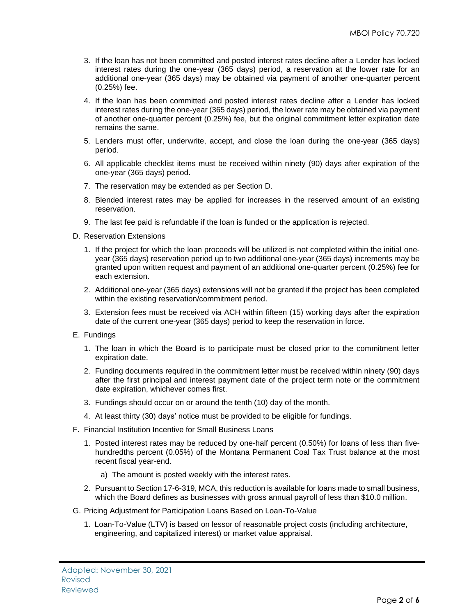- 3. If the loan has not been committed and posted interest rates decline after a Lender has locked interest rates during the one-year (365 days) period, a reservation at the lower rate for an additional one-year (365 days) may be obtained via payment of another one-quarter percent (0.25%) fee.
- 4. If the loan has been committed and posted interest rates decline after a Lender has locked interest rates during the one-year (365 days) period, the lower rate may be obtained via payment of another one-quarter percent (0.25%) fee, but the original commitment letter expiration date remains the same.
- 5. Lenders must offer, underwrite, accept, and close the loan during the one-year (365 days) period.
- 6. All applicable checklist items must be received within ninety (90) days after expiration of the one-year (365 days) period.
- 7. The reservation may be extended as per Section D.
- 8. Blended interest rates may be applied for increases in the reserved amount of an existing reservation.
- 9. The last fee paid is refundable if the loan is funded or the application is rejected.
- D. Reservation Extensions
	- 1. If the project for which the loan proceeds will be utilized is not completed within the initial oneyear (365 days) reservation period up to two additional one-year (365 days) increments may be granted upon written request and payment of an additional one-quarter percent (0.25%) fee for each extension.
	- 2. Additional one-year (365 days) extensions will not be granted if the project has been completed within the existing reservation/commitment period.
	- 3. Extension fees must be received via ACH within fifteen (15) working days after the expiration date of the current one-year (365 days) period to keep the reservation in force.
- E. Fundings
	- 1. The loan in which the Board is to participate must be closed prior to the commitment letter expiration date.
	- 2. Funding documents required in the commitment letter must be received within ninety (90) days after the first principal and interest payment date of the project term note or the commitment date expiration, whichever comes first.
	- 3. Fundings should occur on or around the tenth (10) day of the month.
	- 4. At least thirty (30) days' notice must be provided to be eligible for fundings.
- F. Financial Institution Incentive for Small Business Loans
	- 1. Posted interest rates may be reduced by one-half percent (0.50%) for loans of less than fivehundredths percent (0.05%) of the Montana Permanent Coal Tax Trust balance at the most recent fiscal year-end.
		- a) The amount is posted weekly with the interest rates.
	- 2. Pursuant to Section 17-6-319, MCA, this reduction is available for loans made to small business, which the Board defines as businesses with gross annual payroll of less than \$10.0 million.
- G. Pricing Adjustment for Participation Loans Based on Loan-To-Value
	- 1. Loan-To-Value (LTV) is based on lessor of reasonable project costs (including architecture, engineering, and capitalized interest) or market value appraisal.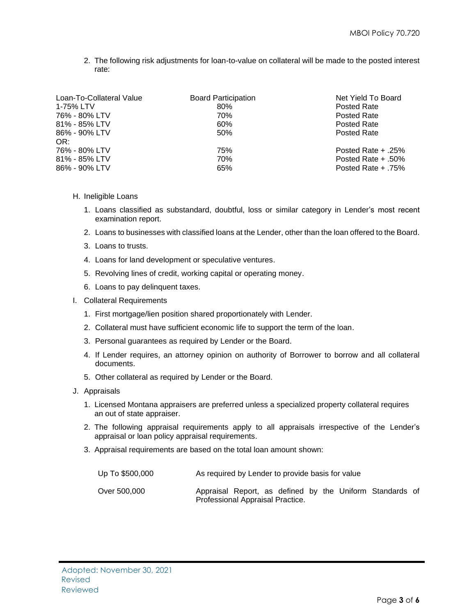2. The following risk adjustments for loan-to-value on collateral will be made to the posted interest rate:

| Loan-To-Collateral Value                               | <b>Board Participation</b> | Net Yield To Board                                                  |
|--------------------------------------------------------|----------------------------|---------------------------------------------------------------------|
| 1-75% LTV                                              | 80%                        | Posted Rate                                                         |
| 76% - 80% LTV                                          | 70%                        | Posted Rate                                                         |
| 81% - 85% LTV                                          | 60%                        | Posted Rate                                                         |
| 86% - 90% LTV                                          | 50%                        | Posted Rate                                                         |
| OR:<br>76% - 80% LTV<br>81% - 85% LTV<br>86% - 90% LTV | 75%<br>70%<br>65%          | Posted Rate $+$ .25%<br>Posted Rate $+ .50\%$<br>Posted Rate + .75% |

- H. Ineligible Loans
	- 1. Loans classified as substandard, doubtful, loss or similar category in Lender's most recent examination report.
	- 2. Loans to businesses with classified loans at the Lender, other than the loan offered to the Board.
	- 3. Loans to trusts.
	- 4. Loans for land development or speculative ventures.
	- 5. Revolving lines of credit, working capital or operating money.
	- 6. Loans to pay delinquent taxes.
- I. Collateral Requirements
	- 1. First mortgage/lien position shared proportionately with Lender.
	- 2. Collateral must have sufficient economic life to support the term of the loan.
	- 3. Personal guarantees as required by Lender or the Board.
	- 4. If Lender requires, an attorney opinion on authority of Borrower to borrow and all collateral documents.
	- 5. Other collateral as required by Lender or the Board.
- J. Appraisals
	- 1. Licensed Montana appraisers are preferred unless a specialized property collateral requires an out of state appraiser.
	- 2. The following appraisal requirements apply to all appraisals irrespective of the Lender's appraisal or loan policy appraisal requirements.
	- 3. Appraisal requirements are based on the total loan amount shown:

| Up To \$500,000 | As required by Lender to provide basis for value                                             |
|-----------------|----------------------------------------------------------------------------------------------|
| Over 500.000    | Appraisal Report, as defined by the Uniform Standards of<br>Professional Appraisal Practice. |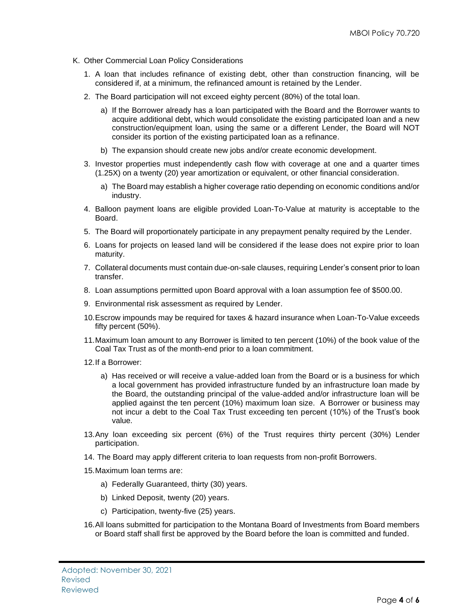- K. Other Commercial Loan Policy Considerations
	- 1. A loan that includes refinance of existing debt, other than construction financing, will be considered if, at a minimum, the refinanced amount is retained by the Lender.
	- 2. The Board participation will not exceed eighty percent (80%) of the total loan.
		- a) If the Borrower already has a loan participated with the Board and the Borrower wants to acquire additional debt, which would consolidate the existing participated loan and a new construction/equipment loan, using the same or a different Lender, the Board will NOT consider its portion of the existing participated loan as a refinance.
		- b) The expansion should create new jobs and/or create economic development.
	- 3. Investor properties must independently cash flow with coverage at one and a quarter times (1.25X) on a twenty (20) year amortization or equivalent, or other financial consideration.
		- a) The Board may establish a higher coverage ratio depending on economic conditions and/or industry.
	- 4. Balloon payment loans are eligible provided Loan-To-Value at maturity is acceptable to the Board.
	- 5. The Board will proportionately participate in any prepayment penalty required by the Lender.
	- 6. Loans for projects on leased land will be considered if the lease does not expire prior to loan maturity.
	- 7. Collateral documents must contain due-on-sale clauses, requiring Lender's consent prior to loan transfer.
	- 8. Loan assumptions permitted upon Board approval with a loan assumption fee of \$500.00.
	- 9. Environmental risk assessment as required by Lender.
	- 10.Escrow impounds may be required for taxes & hazard insurance when Loan-To-Value exceeds fifty percent (50%).
	- 11.Maximum loan amount to any Borrower is limited to ten percent (10%) of the book value of the Coal Tax Trust as of the month-end prior to a loan commitment.
	- 12.If a Borrower:
		- a) Has received or will receive a value-added loan from the Board or is a business for which a local government has provided infrastructure funded by an infrastructure loan made by the Board, the outstanding principal of the value-added and/or infrastructure loan will be applied against the ten percent (10%) maximum loan size. A Borrower or business may not incur a debt to the Coal Tax Trust exceeding ten percent (10%) of the Trust's book value.
	- 13.Any loan exceeding six percent (6%) of the Trust requires thirty percent (30%) Lender participation.
	- 14. The Board may apply different criteria to loan requests from non-profit Borrowers.
	- 15.Maximum loan terms are:
		- a) Federally Guaranteed, thirty (30) years.
		- b) Linked Deposit, twenty (20) years.
		- c) Participation, twenty-five (25) years.
	- 16.All loans submitted for participation to the Montana Board of Investments from Board members or Board staff shall first be approved by the Board before the loan is committed and funded.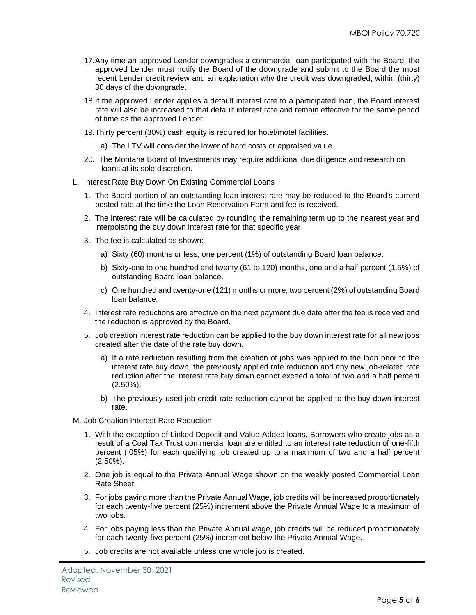- 17.Any time an approved Lender downgrades a commercial loan participated with the Board, the approved Lender must notify the Board of the downgrade and submit to the Board the most recent Lender credit review and an explanation why the credit was downgraded, within (thirty) 30 days of the downgrade.
- 18.If the approved Lender applies a default interest rate to a participated loan, the Board interest rate will also be increased to that default interest rate and remain effective for the same period of time as the approved Lender.
- 19.Thirty percent (30%) cash equity is required for hotel/motel facilities.
	- a) The LTV will consider the lower of hard costs or appraised value.
- 20. The Montana Board of Investments may require additional due diligence and research on loans at its sole discretion.
- L. Interest Rate Buy Down On Existing Commercial Loans
	- 1. The Board portion of an outstanding loan interest rate may be reduced to the Board's current posted rate at the time the Loan Reservation Form and fee is received.
	- 2. The interest rate will be calculated by rounding the remaining term up to the nearest year and interpolating the buy down interest rate for that specific year.
	- 3. The fee is calculated as shown:
		- a) Sixty (60) months or less, one percent (1%) of outstanding Board loan balance.
		- b) Sixty-one to one hundred and twenty (61 to 120) months, one and a half percent (1.5%) of outstanding Board loan balance.
		- c) One hundred and twenty-one (121) months or more, two percent (2%) of outstanding Board loan balance.
	- 4. Interest rate reductions are effective on the next payment due date after the fee is received and the reduction is approved by the Board.
	- 5. Job creation interest rate reduction can be applied to the buy down interest rate for all new jobs created after the date of the rate buy down.
		- a) If a rate reduction resulting from the creation of jobs was applied to the loan prior to the interest rate buy down, the previously applied rate reduction and any new job-related rate reduction after the interest rate buy down cannot exceed a total of two and a half percent (2.50%).
		- b) The previously used job credit rate reduction cannot be applied to the buy down interest rate.
- M. Job Creation Interest Rate Reduction
	- 1. With the exception of Linked Deposit and Value-Added loans, Borrowers who create jobs as a result of a Coal Tax Trust commercial loan are entitled to an interest rate reduction of one-fifth percent (.05%) for each qualifying job created up to a maximum of two and a half percent (2.50%).
	- 2. One job is equal to the Private Annual Wage shown on the weekly posted Commercial Loan Rate Sheet.
	- 3. For jobs paying more than the Private Annual Wage, job credits will be increased proportionately for each twenty-five percent (25%) increment above the Private Annual Wage to a maximum of two jobs.
	- 4. For jobs paying less than the Private Annual wage, job credits will be reduced proportionately for each twenty-five percent (25%) increment below the Private Annual Wage.
	- 5. Job credits are not available unless one whole job is created.